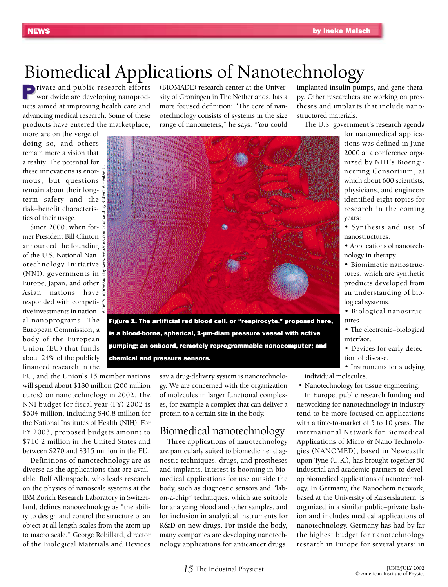# Biomedical Applications of Nanotechnology

**Private and public research efforts** worldwide are developing nanoproducts aimed at improving health care and advancing medical research. Some of these products have entered the marketplace,

Artist's impression by www.e-spaces.com; concept by Robert A.Freitas Jr.

more are on the verge of doing so, and others remain more a vision that a reality. The potential for these innovations is enor- $\frac{1}{8}$ mous, but questions  $\frac{1}{k}$ remain about their longterm safety and the risk–benefit characteristics of their usage.

Since 2000, when former President Bill Clinton announced the founding of the U.S. National Nanotechnology Initiative (NNI), governments in  $\frac{5}{5}$ Europe, Japan, and other  $\bar{\tilde{g}}$ Asian nations have responded with competi-  $\frac{\omega}{\omega}$ tive investments in national nanoprograms. The European Commission, a body of the European Union (EU) that funds about 24% of the publicly financed research in the

(BIOMADE) research center at the University of Groningen in The Netherlands, has a more focused definition: "The core of nanotechnology consists of systems in the size range of nanometers," he says. "You could



is a blood-borne, spherical, 1-µm-diam pressure vessel with active pumping; an onboard, remotely reprogrammable nanocomputer; and chemical and pressure sensors.

EU, and the Union's 15 member nations will spend about \$180 million (200 million euros) on nanotechnology in 2002. The NNI budget for fiscal year (FY) 2002 is \$604 million, including \$40.8 million for the National Institutes of Health (NIH). For FY 2003, proposed budgets amount to \$710.2 million in the United States and between \$270 and \$315 million in the EU.

Definitions of nanotechnology are as diverse as the applications that are available. Rolf Allenspach, who leads research on the physics of nanoscale systems at the IBM Zurich Research Laboratory in Switzerland, defines nanotechnology as "the ability to design and control the structure of an object at all length scales from the atom up to macro scale." George Robillard, director of the Biological Materials and Devices say a drug-delivery system is nanotechnology. We are concerned with the organization of molecules in larger functional complexes, for example a complex that can deliver a protein to a certain site in the body."

## Biomedical nanotechnology

Three applications of nanotechnology are particularly suited to biomedicine: diagnostic techniques, drugs, and prostheses and implants. Interest is booming in biomedical applications for use outside the body, such as diagnostic sensors and "labon-a-chip" techniques, which are suitable for analyzing blood and other samples, and for inclusion in analytical instruments for R&D on new drugs. For inside the body, many companies are developing nanotechnology applications for anticancer drugs,

implanted insulin pumps, and gene therapy. Other researchers are working on prostheses and implants that include nanostructured materials.

The U.S. government's research agenda

for nanomedical applications was defined in June 2000 at a conference organized by NIH's Bioengineering Consortium, at which about 600 scientists, physicians, and engineers identified eight topics for research in the coming years:

- Synthesis and use of nanostructures.
- Applications of nanotechnology in therapy.
- Biomimetic nanostructures, which are synthetic products developed from an understanding of biological systems.

• Biological nanostructures.

- The electronic–biological interface.
- Devices for early detection of disease.

• Instruments for studying individual molecules.

• Nanotechnology for tissue engineering.

In Europe, public research funding and

networking for nanotechnology in industry tend to be more focused on applications with a time-to-market of 5 to 10 years. The international Network for Biomedical Applications of Micro & Nano Technologies (NANOMED), based in Newcastle upon Tyne (U.K.), has brought together 50 industrial and academic partners to develop biomedical applications of nanotechnology. In Germany, the Nanochem network, based at the University of Kaiserslautern, is organized in a similar public–private fashion and includes medical applications of nanotechnology. Germany has had by far the highest budget for nanotechnology research in Europe for several years; in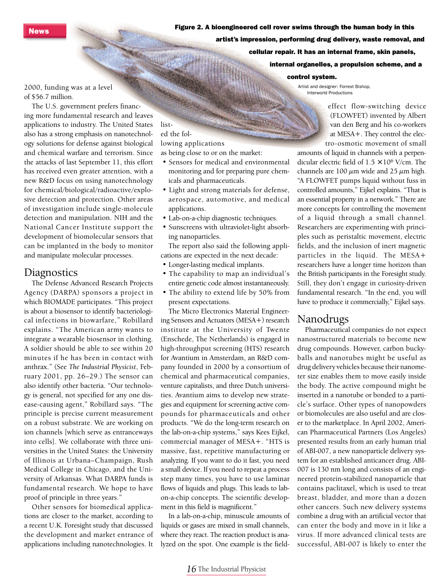News

Figure 2. A bioengineered cell rover swims through the human body in this artist's impression, performing drug delivery, waste removal, and cellular repair. It has an internal frame, skin panels, **SOPP SACHEL** internal organelles, a propulsion scheme, and a

#### control system.

Artist and designer: Forrest Bishop, Interworld Productions

2000, funding was at a level of \$56.7 million.

The U.S. government prefers financing more fundamental research and leaves applications to industry. The United States also has a strong emphasis on nanotechnology solutions for defense against biological and chemical warfare and terrorism. Since the attacks of last September 11, this effort has received even greater attention, with a new R&D focus on using nanotechnology for chemical/biological/radioactive/explosive detection and protection. Other areas of investigation include single-molecule detection and manipulation. NIH and the National Cancer Institute support the development of biomolecular sensors that can be implanted in the body to monitor and manipulate molecular processes.

### **Diagnostics**

The Defense Advanced Research Projects Agency (DARPA) sponsors a project in which BIOMADE participates. "This project is about a biosensor to identify bacteriological infections in biowarfare," Robillard explains. "The American army wants to integrate a wearable biosensor in clothing. A soldier should be able to see within 20 minutes if he has been in contact with anthrax." (See *The Industrial Physicist*, February 2001, pp. 26–29.) The sensor can also identify other bacteria. "Our technology is general, not specified for any one disease-causing agent," Robillard says. "The principle is precise current measurement on a robust substrate. We are working on ion channels [which serve as entranceways into cells]. We collaborate with three universities in the United States: the University of Illinois at Urbana–Champaign, Rush Medical College in Chicago, and the University of Arkansas. What DARPA funds is fundamental research. We hope to have proof of principle in three years."

Other sensors for biomedical applications are closer to the market, according to a recent U.K. Foresight study that discussed the development and market entrance of applications including nanotechnologies. It

#### listed the following applications

as being close to or on the market:

- Sensors for medical and environmental monitoring and for preparing pure chemicals and pharmaceuticals.
- Light and strong materials for defense, aerospace, automotive, and medical applications.
- Lab-on-a-chip diagnostic techniques.
- Sunscreens with ultraviolet-light absorbing nanoparticles.

The report also said the following applications are expected in the next decade:

- Longer-lasting medical implants.
- The capability to map an individual's entire genetic code almost instantaneously.
- The ability to extend life by 50% from present expectations.

The Micro Electronics Material Engineering Sensors and Actuators (MESA+) research institute at the University of Twente (Enschede, The Netherlands) is engaged in high-throughput screening (HTS) research for Avantium in Amsterdam, an R&D company founded in 2000 by a consortium of chemical and pharmaceutical companies, venture capitalists, and three Dutch universities. Avantium aims to develop new strategies and equipment for screening active compounds for pharmaceuticals and other products. "We do the long-term research on the lab-on-a-chip systems," says Kees Eijkel, commercial manager of MESA+. "HTS is massive, fast, repetitive manufacturing or analyzing. If you want to do it fast, you need a small device. If you need to repeat a process step many times, you have to use laminar flows of liquids and plugs. This leads to labon-a-chip concepts. The scientific development in this field is magnificent."

In a lab-on-a-chip, minuscule amounts of liquids or gases are mixed in small channels, where they react. The reaction product is analyzed on the spot. One example is the field-

effect flow-switching device (FLOWFET) invented by Albert van den Berg and his co-workers at MESA+. They control the electro-osmotic movement of small

amounts of liquid in channels with a perpendicular electric field of  $1.5 \times 10^6$  V/cm. The channels are 100  $\mu$ m wide and 25  $\mu$ m high. "A FLOWFET pumps liquid without fuss in controlled amounts," Eijkel explains. "That is an essential property in a network." There are more concepts for controlling the movement of a liquid through a small channel. Researchers are experimenting with principles such as peristaltic movement, electric fields, and the inclusion of inert magnetic particles in the liquid. The MESA+ researchers have a longer time horizon than the British participants in the Foresight study. Still, they don't engage in curiosity-driven fundamental research. "In the end, you will have to produce it commercially," Eijkel says.

#### Nanodrugs

Pharmaceutical companies do not expect nanostructured materials to become new drug compounds. However, carbon buckyballs and nanotubes might be useful as drug delivery vehicles because their nanometer size enables them to move easily inside the body. The active compound might be inserted in a nanotube or bonded to a particle's surface. Other types of nanopowders or biomolecules are also useful and are closer to the marketplace. In April 2002, American Pharmaceutical Partners (Los Angeles) presented results from an early human trial of ABI-007, a new nanoparticle delivery system for an established anticancer drug. ABI-007 is 130 nm long and consists of an engineered protein-stabilized nanoparticle that contains paclitaxel, which is used to treat breast, bladder, and more than a dozen other cancers. Such new delivery systems combine a drug with an artificial vector that can enter the body and move in it like a virus. If more advanced clinical tests are successful, ABI-007 is likely to enter the